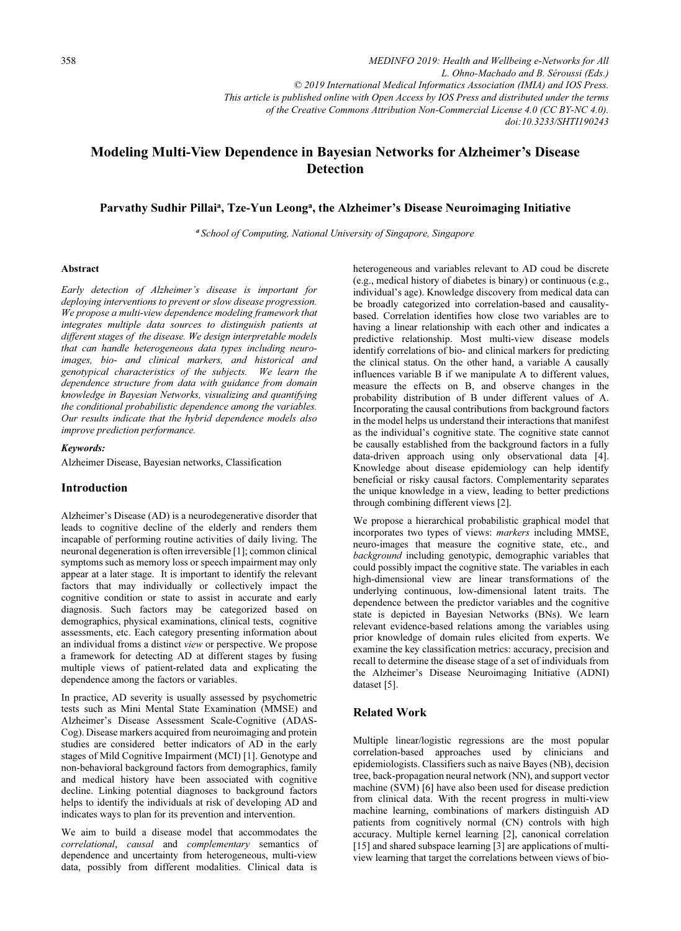*MEDINFO 2019: Health and Wellbeing e-Networks for All L. Ohno-Machado and B. Séroussi (Eds.) © 2019 International Medical Informatics Association (IMIA) and IOS Press. This article is published online with Open Access by IOS Press and distributed under the terms of the Creative Commons Attribution Non-Commercial License 4.0 (CC BY-NC 4.0). doi:10.3233/SHTI190243*

# Modeling Multi-View Dependence in Bayesian Networks for Alzheimer's Disease **Detection**

# Parvathy Sudhir Pillai<sup>a</sup>, Tze-Yun Leong<sup>a</sup>, the Alzheimer's Disease Neuroimaging Initiative

<sup>a</sup> School of Computing, National University of Singapore, Singapore

### Abstract

Early detection of Alzheimer's disease is important for deploying interventions to prevent or slow disease progression. We propose a multi-view dependence modeling framework that integrates multiple data sources to distinguish patients at different stages of the disease. We design interpretable models that can handle heterogeneous data types including neuroimages, bio- and clinical markers, and historical and genotypical characteristics of the subjects. We learn the dependence structure from data with guidance from domain knowledge in Bayesian Networks, visualizing and quantifying the conditional probabilistic dependence among the variables. Our results indicate that the hybrid dependence models also improve prediction performance.

# Keywords:

Alzheimer Disease, Bayesian networks, Classification

# Introduction

Alzheimer's Disease (AD) is a neurodegenerative disorder that leads to cognitive decline of the elderly and renders them incapable of performing routine activities of daily living. The neuronal degeneration is often irreversible [1]; common clinical symptoms such as memory loss or speech impairment may only appear at a later stage. It is important to identify the relevant factors that may individually or collectively impact the cognitive condition or state to assist in accurate and early diagnosis. Such factors may be categorized based on demographics, physical examinations, clinical tests, cognitive assessments, etc. Each category presenting information about an individual froms a distinct view or perspective. We propose a framework for detecting AD at different stages by fusing multiple views of patient-related data and explicating the dependence among the factors or variables.

In practice, AD severity is usually assessed by psychometric tests such as Mini Mental State Examination (MMSE) and Alzheimer's Disease Assessment Scale-Cognitive (ADAS-Cog). Disease markers acquired from neuroimaging and protein studies are considered better indicators of AD in the early stages of Mild Cognitive Impairment (MCI) [1]. Genotype and non-behavioral background factors from demographics, family and medical history have been associated with cognitive decline. Linking potential diagnoses to background factors helps to identify the individuals at risk of developing AD and indicates ways to plan for its prevention and intervention.

We aim to build a disease model that accommodates the correlational, causal and complementary semantics of dependence and uncertainty from heterogeneous, multi-view data, possibly from different modalities. Clinical data is

heterogeneous and variables relevant to AD coud be discrete (e.g., medical history of diabetes is binary) or continuous (e.g., individual's age). Knowledge discovery from medical data can be broadly categorized into correlation-based and causalitybased. Correlation identifies how close two variables are to having a linear relationship with each other and indicates a predictive relationship. Most multi-view disease models identify correlations of bio- and clinical markers for predicting the clinical status. On the other hand, a variable A causally influences variable B if we manipulate A to different values, measure the effects on B, and observe changes in the probability distribution of B under different values of A. Incorporating the causal contributions from background factors in the model helps us understand their interactions that manifest as the individual's cognitive state. The cognitive state cannot be causally established from the background factors in a fully data-driven approach using only observational data [4]. Knowledge about disease epidemiology can help identify beneficial or risky causal factors. Complementarity separates the unique knowledge in a view, leading to better predictions through combining different views [2].

We propose a hierarchical probabilistic graphical model that incorporates two types of views: markers including MMSE, neuro-images that measure the cognitive state, etc., and background including genotypic, demographic variables that could possibly impact the cognitive state. The variables in each high-dimensional view are linear transformations of the underlying continuous, low-dimensional latent traits. The dependence between the predictor variables and the cognitive state is depicted in Bayesian Networks (BNs). We learn relevant evidence-based relations among the variables using prior knowledge of domain rules elicited from experts. We examine the key classification metrics: accuracy, precision and recall to determine the disease stage of a set of individuals from the Alzheimer's Disease Neuroimaging Initiative (ADNI) dataset [5].

# Related Work

Multiple linear/logistic regressions are the most popular correlation-based approaches used by clinicians and epidemiologists. Classifiers such as naive Bayes (NB), decision tree, back-propagation neural network (NN), and support vector machine (SVM) [6] have also been used for disease prediction from clinical data. With the recent progress in multi-view machine learning, combinations of markers distinguish AD patients from cognitively normal (CN) controls with high accuracy. Multiple kernel learning [2], canonical correlation [15] and shared subspace learning [3] are applications of multiview learning that target the correlations between views of bio-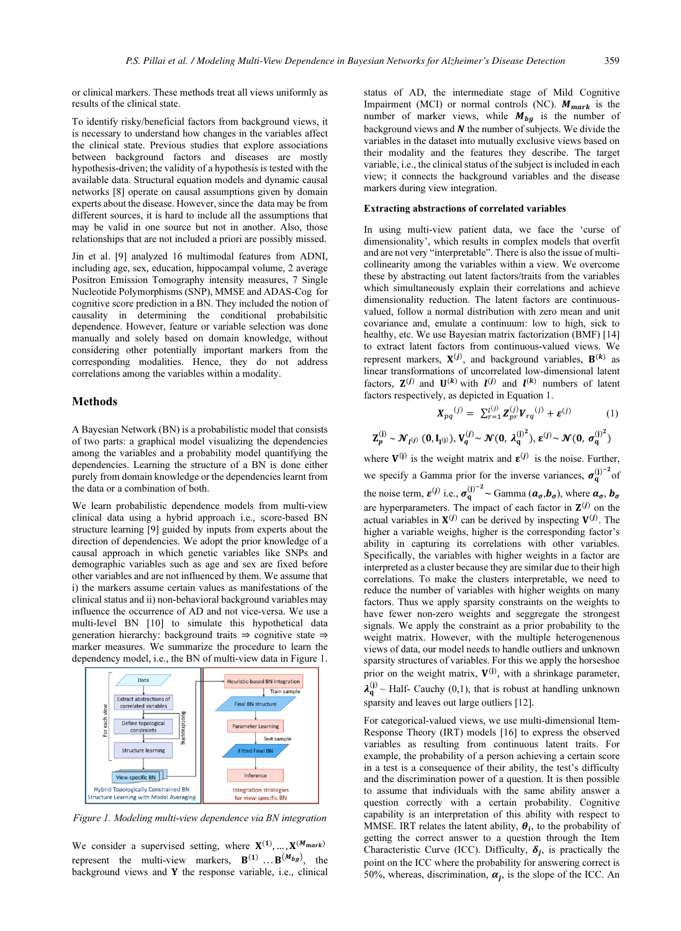or clinical markers. These methods treat all views uniformly as results of the clinical state.

To identify risky/beneficial factors from background views, it is necessary to understand how changes in the variables affect the clinical state. Previous studies that explore associations between background factors and diseases are mostly hypothesis-driven; the validity of a hypothesis is tested with the available data. Structural equation models and dynamic causal networks [8] operate on causal assumptions given by domain experts about the disease. However, since the data may be from different sources, it is hard to include all the assumptions that may be valid in one source but not in another. Also, those relationships that are not included a priori are possibly missed.

Jin et al. [9] analyzed 16 multimodal features from ADNI, including age, sex, education, hippocampal volume, 2 average Positron Emission Tomography intensity measures, 7 Single Nucleotide Polymorphisms (SNP), MMSE and ADAS-Cog for cognitive score prediction in a BN. They included the notion of causality in determining the conditional probabilsitic dependence. However, feature or variable selection was done manually and solely based on domain knowledge, without considering other potentially important markers from the corresponding modalities. Hence, they do not address correlations among the variables within a modality.

# Methods

A Bayesian Network (BN) is a probabilistic model that consists of two parts: a graphical model visualizing the dependencies among the variables and a probability model quantifying the dependencies. Learning the structure of a BN is done either purely from domain knowledge or the dependencies learnt from the data or a combination of both.

We learn probabilistic dependence models from multi-view clinical data using a hybrid approach i.e., score-based BN structure learning [9] guided by inputs from experts about the direction of dependencies. We adopt the prior knowledge of a causal approach in which genetic variables like SNPs and demographic variables such as age and sex are fixed before other variables and are not influenced by them. We assume that i) the markers assume certain values as manifestations of the clinical status and ii) non-behavioral background variables may influence the occurrence of AD and not vice-versa. We use a multi-level BN [10] to simulate this hypothetical data generation hierarchy: background traits ⇒ cognitive state ⇒ marker measures. We summarize the procedure to learn the dependency model, i.e., the BN of multi-view data in Figure 1.



Figure 1. Modeling multi-view dependence via BN integration

We consider a supervised setting, where  $X^{(1)}$ , ...,  $X^{(M_{mark})}$ represent the multi-view markers,  $\mathbf{B}^{(1)} \dots \mathbf{B}^{(M_{bg})}$ , the background views and  $Y$  the response variable, i.e., clinical

status of AD, the intermediate stage of Mild Cognitive Impairment (MCI) or normal controls (NC).  $M_{mark}$  is the number of marker views, while  $M_{bg}$  is the number of background views and  $N$  the number of subjects. We divide the variables in the dataset into mutually exclusive views based on their modality and the features they describe. The target variable, i.e., the clinical status of the subject is included in each view; it connects the background variables and the disease markers during view integration.

# Extracting abstractions of correlated variables

In using multi-view patient data, we face the 'curse of dimensionality', which results in complex models that overfit and are not very "interpretable". There is also the issue of multicollinearity among the variables within a view. We overcome these by abstracting out latent factors/traits from the variables which simultaneously explain their correlations and achieve dimensionality reduction. The latent factors are continuousvalued, follow a normal distribution with zero mean and unit covariance and, emulate a continuum: low to high, sick to healthy, etc. We use Bayesian matrix factorization (BMF) [14] to extract latent factors from continuous-valued views. We represent markers,  $X^{(j)}$ , and background variables,  $B^{(k)}$  as linear transformations of uncorrelated low-dimensional latent factors,  $\mathbf{Z}^{(j)}$  and  $\mathbf{U}^{(k)}$  with  $\mathbf{I}^{(j)}$  and  $\mathbf{I}^{(k)}$  numbers of latent factors respectively, as depicted in Equation 1.

$$
X_{pq}^{(j)} = \sum_{r=1}^{l^{(j)}} Z_{pr}^{(j)} V_{rq}^{(j)} + \varepsilon^{(j)}
$$
(1)

$$
\mathbf{Z}_p^{(j)} \sim \mathcal{N}_{l^{(j)}}\left(0, \mathbf{I}_{l^{(j)}}\right), V_q^{(j)} \sim \mathcal{N}(0,\: \boldsymbol{\lambda}_q^{(j)^2}), \: \boldsymbol{\epsilon}^{(j)} \sim \mathcal{N}(0,\: \sigma_q^{(j)^2})
$$

where  $V^{(j)}$  is the weight matrix and  $\varepsilon^{(j)}$  is the noise. Further, we specify a Gamma prior for the inverse variances,  $\sigma_q^{(j)^{-2}}$  of the noise term,  $\varepsilon^{(j)}$  i.e.,  $\sigma_q^{(j)^{-2}} \sim \text{Gamma}(\boldsymbol{a}_{\sigma}, \boldsymbol{b}_{\sigma})$ , where  $\boldsymbol{a}_{\sigma}, \boldsymbol{b}_{\sigma}$ are hyperparameters. The impact of each factor in  $\mathbf{Z}^{(j)}$  on the actual variables in  $X^{(j)}$  can be derived by inspecting  $V^{(j)}$ . The higher a variable weighs, higher is the corresponding factor's ability in capturing its correlations with other variables. Specifically, the variables with higher weights in a factor are interpreted as a cluster because they are similar due to their high correlations. To make the clusters interpretable, we need to reduce the number of variables with higher weights on many factors. Thus we apply sparsity constraints on the weights to have fewer non-zero weights and seggregate the strongest signals. We apply the constraint as a prior probability to the weight matrix. However, with the multiple heterogenenous views of data, our model needs to handle outliers and unknown sparsity structures of variables. For this we apply the horseshoe prior on the weight matrix,  $V^{(j)}$ , with a shrinkage parameter,  $\lambda_q^{(j)}$  ~ Half- Cauchy (0,1), that is robust at handling unknown sparsity and leaves out large outliers [12].

For categorical-valued views, we use multi-dimensional Item-Response Theory (IRT) models [16] to express the observed variables as resulting from continuous latent traits. For example, the probability of a person achieving a certain score in a test is a consequence of their ability, the test's difficulty and the discrimination power of a question. It is then possible to assume that individuals with the same ability answer a question correctly with a certain probability. Cognitive capability is an interpretation of this ability with respect to MMSE. IRT relates the latent ability,  $\theta_i$ , to the probability of getting the correct answer to a question through the Item Characteristic Curve (ICC). Difficulty,  $\delta_i$ , is practically the point on the ICC where the probability for answering correct is 50%, whereas, discrimination,  $\alpha_i$ , is the slope of the ICC. An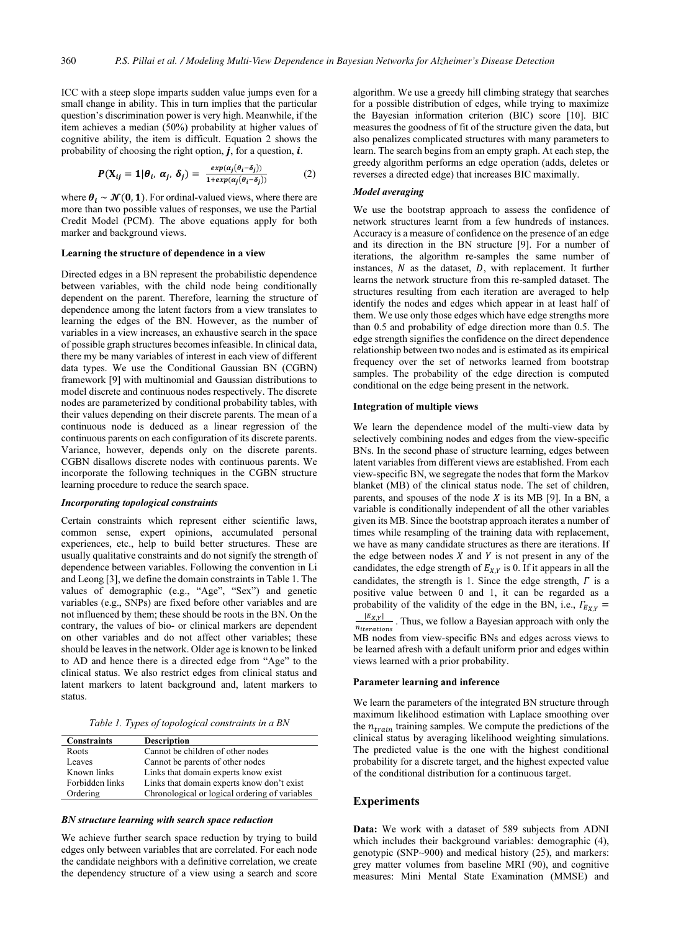ICC with a steep slope imparts sudden value jumps even for a small change in ability. This in turn implies that the particular question's discrimination power is very high. Meanwhile, if the item achieves a median (50%) probability at higher values of cognitive ability, the item is difficult. Equation 2 shows the probability of choosing the right option,  $j$ , for a question,  $i$ .

$$
P(\mathbf{X}_{ij} = 1 | \theta_i, \alpha_j, \delta_j) = \frac{\exp(\alpha_j(\theta_i - \delta_j))}{1 + \exp(\alpha_j(\theta_i - \delta_j))}
$$
(2)

where  $\theta_i \sim \mathcal{N}(0, 1)$ . For ordinal-valued views, where there are more than two possible values of responses, we use the Partial Credit Model (PCM). The above equations apply for both marker and background views.

### Learning the structure of dependence in a view

Directed edges in a BN represent the probabilistic dependence between variables, with the child node being conditionally dependent on the parent. Therefore, learning the structure of dependence among the latent factors from a view translates to learning the edges of the BN. However, as the number of variables in a view increases, an exhaustive search in the space of possible graph structures becomes infeasible. In clinical data, there my be many variables of interest in each view of different data types. We use the Conditional Gaussian BN (CGBN) framework [9] with multinomial and Gaussian distributions to model discrete and continuous nodes respectively. The discrete nodes are parameterized by conditional probability tables, with their values depending on their discrete parents. The mean of a continuous node is deduced as a linear regression of the continuous parents on each configuration of its discrete parents. Variance, however, depends only on the discrete parents. CGBN disallows discrete nodes with continuous parents. We incorporate the following techniques in the CGBN structure learning procedure to reduce the search space.

## Incorporating topological constraints

Certain constraints which represent either scientific laws, common sense, expert opinions, accumulated personal experiences, etc., help to build better structures. These are usually qualitative constraints and do not signify the strength of dependence between variables. Following the convention in Li and Leong [3], we define the domain constraints in Table 1. The values of demographic (e.g., "Age", "Sex") and genetic variables (e.g., SNPs) are fixed before other variables and are not influenced by them; these should be roots in the BN. On the contrary, the values of bio- or clinical markers are dependent on other variables and do not affect other variables; these should be leaves in the network. Older age is known to be linked to AD and hence there is a directed edge from "Age" to the clinical status. We also restrict edges from clinical status and latent markers to latent background and, latent markers to status.

Table 1. Types of topological constraints in a BN

| <b>Constraints</b> | <b>Description</b>                             |
|--------------------|------------------------------------------------|
| Roots              | Cannot be children of other nodes              |
| Leaves             | Cannot be parents of other nodes               |
| Known links        | Links that domain experts know exist           |
| Forbidden links    | Links that domain experts know don't exist     |
| Ordering           | Chronological or logical ordering of variables |

### BN structure learning with search space reduction

We achieve further search space reduction by trying to build edges only between variables that are correlated. For each node the candidate neighbors with a definitive correlation, we create the dependency structure of a view using a search and score algorithm. We use a greedy hill climbing strategy that searches for a possible distribution of edges, while trying to maximize the Bayesian information criterion (BIC) score [10]. BIC measures the goodness of fit of the structure given the data, but also penalizes complicated structures with many parameters to learn. The search begins from an empty graph. At each step, the greedy algorithm performs an edge operation (adds, deletes or reverses a directed edge) that increases BIC maximally.

#### Model averaging

We use the bootstrap approach to assess the confidence of network structures learnt from a few hundreds of instances. Accuracy is a measure of confidence on the presence of an edge and its direction in the BN structure [9]. For a number of iterations, the algorithm re-samples the same number of instances,  $N$  as the dataset,  $D$ , with replacement. It further learns the network structure from this re-sampled dataset. The structures resulting from each iteration are averaged to help identify the nodes and edges which appear in at least half of them. We use only those edges which have edge strengths more than 0.5 and probability of edge direction more than 0.5. The edge strength signifies the confidence on the direct dependence relationship between two nodes and is estimated as its empirical frequency over the set of networks learned from bootstrap samples. The probability of the edge direction is computed conditional on the edge being present in the network.

#### Integration of multiple views

We learn the dependence model of the multi-view data by selectively combining nodes and edges from the view-specific BNs. In the second phase of structure learning, edges between latent variables from different views are established. From each view-specific BN, we segregate the nodes that form the Markov blanket (MB) of the clinical status node. The set of children, parents, and spouses of the node  $X$  is its MB [9]. In a BN, a variable is conditionally independent of all the other variables given its MB. Since the bootstrap approach iterates a number of times while resampling of the training data with replacement, we have as many candidate structures as there are iterations. If the edge between nodes  $X$  and  $Y$  is not present in any of the candidates, the edge strength of  $E_{X,Y}$  is 0. If it appears in all the candidates, the strength is 1. Since the edge strength,  $\Gamma$  is a positive value between 0 and 1, it can be regarded as a probability of the validity of the edge in the BN, i.e.,  $\Gamma_{E_{XY}} =$  $\frac{|E_{X,Y}|}{E_{\text{eractions}}}$ . Thus, we follow a Bayesian approach with only the  $n_{iterations}$ 

MB nodes from view-specific BNs and edges across views to be learned afresh with a default uniform prior and edges within views learned with a prior probability.

# Parameter learning and inference

We learn the parameters of the integrated BN structure through maximum likelihood estimation with Laplace smoothing over the  $n_{train}$  training samples. We compute the predictions of the clinical status by averaging likelihood weighting simulations. The predicted value is the one with the highest conditional probability for a discrete target, and the highest expected value of the conditional distribution for a continuous target.

### Experiments

Data: We work with a dataset of 589 subjects from ADNI which includes their background variables: demographic  $(4)$ , genotypic (SNP~900) and medical history (25), and markers: grey matter volumes from baseline MRI (90), and cognitive measures: Mini Mental State Examination (MMSE) and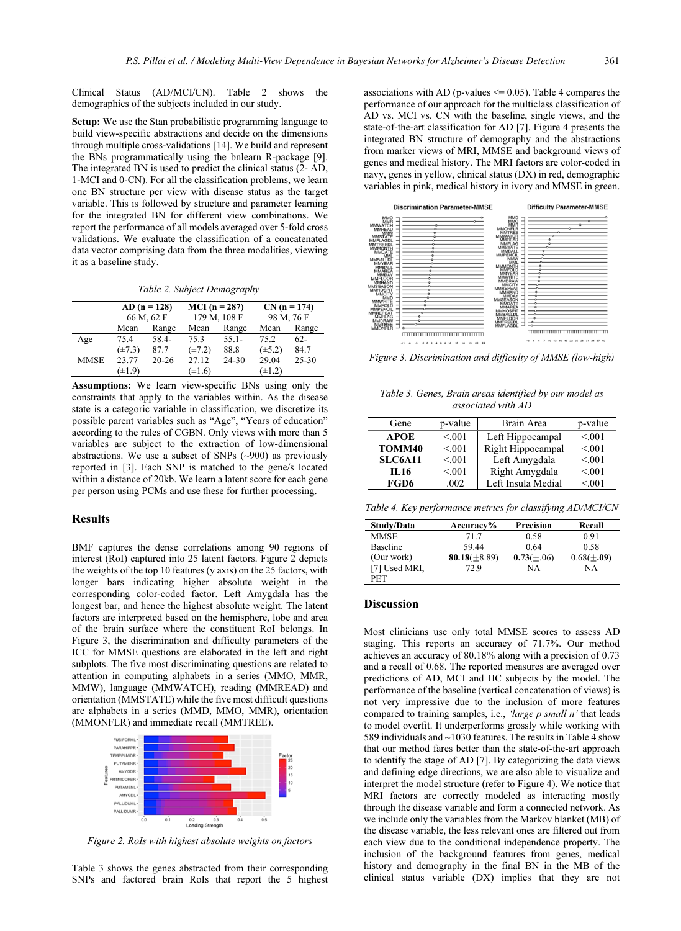Clinical Status (AD/MCI/CN). Table 2 shows the demographics of the subjects included in our study.

Setup: We use the Stan probabilistic programming language to build view-specific abstractions and decide on the dimensions through multiple cross-validations [14]. We build and represent the BNs programmatically using the bnlearn R-package [9]. The integrated BN is used to predict the clinical status (2- AD, 1-MCI and 0-CN). For all the classification problems, we learn one BN structure per view with disease status as the target variable. This is followed by structure and parameter learning for the integrated BN for different view combinations. We report the performance of all models averaged over 5-fold cross validations. We evaluate the classification of a concatenated data vector comprising data from the three modalities, viewing it as a baseline study.

Table 2. Subject Demography

|             | $AD (n = 128)$<br>66 M, 62 F |           | $MCI(n = 287)$<br>179 M, 108 F |           | $CN (n = 174)$<br>98 M, 76 F |           |
|-------------|------------------------------|-----------|--------------------------------|-----------|------------------------------|-----------|
|             | Mean                         | Range     | Mean                           | Range     | Mean                         | Range     |
| Age         | 75.4                         | 58.4-     | 75.3                           | $55.1 -$  | 75.2                         | $62-$     |
|             | $(\pm 7.3)$                  | 87.7      | $(\pm 7.2)$                    | 88.8      | $(\pm 5.2)$                  | 84.7      |
| <b>MMSE</b> | 23.77                        | $20 - 26$ | 27.12                          | $24 - 30$ | 29.04                        | $25 - 30$ |
|             | $(\pm 1.9)$                  |           | $(\pm 1.6)$                    |           | $(\pm 1.2)$                  |           |

Assumptions: We learn view-specific BNs using only the constraints that apply to the variables within. As the disease state is a categoric variable in classification, we discretize its possible parent variables such as "Age", "Years of education" according to the rules of CGBN. Only views with more than 5 variables are subject to the extraction of low-dimensional abstractions. We use a subset of SNPs (~900) as previously reported in [3]. Each SNP is matched to the gene/s located within a distance of 20kb. We learn a latent score for each gene per person using PCMs and use these for further processing.

### Results

BMF captures the dense correlations among 90 regions of interest (RoI) captured into 25 latent factors. Figure 2 depicts the weights of the top 10 features (y axis) on the 25 factors, with longer bars indicating higher absolute weight in the corresponding color-coded factor. Left Amygdala has the longest bar, and hence the highest absolute weight. The latent factors are interpreted based on the hemisphere, lobe and area of the brain surface where the constituent RoI belongs. In Figure 3, the discrimination and difficulty parameters of the ICC for MMSE questions are elaborated in the left and right subplots. The five most discriminating questions are related to attention in computing alphabets in a series (MMO, MMR, MMW), language (MMWATCH), reading (MMREAD) and orientation (MMSTATE) while the five most difficult questions are alphabets in a series (MMD, MMO, MMR), orientation (MMONFLR) and immediate recall (MMTREE).



Figure 2. RoIs with highest absolute weights on factors

Table 3 shows the genes abstracted from their corresponding SNPs and factored brain RoIs that report the 5 highest

associations with AD (p-values  $\leq$  0.05). Table 4 compares the performance of our approach for the multiclass classification of AD vs. MCI vs. CN with the baseline, single views, and the state-of-the-art classification for AD [7]. Figure 4 presents the integrated BN structure of demography and the abstractions from marker views of MRI, MMSE and background views of genes and medical history. The MRI factors are color-coded in navy, genes in yellow, clinical status (DX) in red, demographic variables in pink, medical history in ivory and MMSE in green.



Figure 3. Discrimination and difficulty of MMSE (low-high)

Table 3. Genes, Brain areas identified by our model as associated with AD

| Gene           | p-value | Brain Area         | p-value |
|----------------|---------|--------------------|---------|
| <b>APOE</b>    | < 0.01  | Left Hippocampal   | < 0.01  |
| TOMM40         | < 0.01  | Right Hippocampal  | < 0.01  |
| <b>SLC6A11</b> | < 0.01  | Left Amygdala      | < 0.01  |
| IL 16          | < 0.01  | Right Amygdala     | < 0.01  |
| FGD6           | .002    | Left Insula Medial | < 0.01  |

Table 4. Key performance metrics for classifying AD/MCI/CN

| Study/Data      | Accuracy%          | Precision      | Recall         |
|-----------------|--------------------|----------------|----------------|
| MMSE            | 71.7               | 0.58           | 0.91           |
| <b>Baseline</b> | 59.44              | 0.64           | 0.58           |
| (Our work)      | 80.18 $(\pm 8.89)$ | $0.73(\pm.06)$ | $0.68(\pm.09)$ |
| [7] Used MRI,   | 72.9               | NA             | NΑ             |
| PET             |                    |                |                |

### Discussion

Most clinicians use only total MMSE scores to assess AD staging. This reports an accuracy of 71.7%. Our method achieves an accuracy of 80.18% along with a precision of 0.73 and a recall of 0.68. The reported measures are averaged over predictions of AD, MCI and HC subjects by the model. The performance of the baseline (vertical concatenation of views) is not very impressive due to the inclusion of more features compared to training samples, i.e., 'large p small n' that leads to model overfit. It underperforms grossly while working with 589 individuals and ~1030 features. The results in Table 4 show that our method fares better than the state-of-the-art approach to identify the stage of AD [7]. By categorizing the data views and defining edge directions, we are also able to visualize and interpret the model structure (refer to Figure 4). We notice that MRI factors are correctly modeled as interacting mostly through the disease variable and form a connected network. As we include only the variables from the Markov blanket (MB) of the disease variable, the less relevant ones are filtered out from each view due to the conditional independence property. The inclusion of the background features from genes, medical history and demography in the final BN in the MB of the clinical status variable (DX) implies that they are not